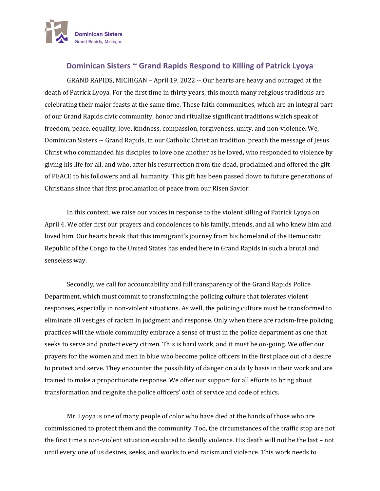

## **Dominican Sisters ~ Grand Rapids Respond to Killing of Patrick Lyoya**

GRAND RAPIDS, MICHIGAN – April 19, 2022 -- Our hearts are heavy and outraged at the death of Patrick Lyoya. For the first time in thirty years, this month many religious traditions are celebrating their major feasts at the same time. These faith communities, which are an integral part of our Grand Rapids civic community, honor and ritualize significant traditions which speak of freedom, peace, equality, love, kindness, compassion, forgiveness, unity, and non-violence. We, Dominican Sisters  $\sim$  Grand Rapids, in our Catholic Christian tradition, preach the message of Jesus Christ who commanded his disciples to love one another as he loved, who responded to violence by giving his life for all, and who, after his resurrection from the dead, proclaimed and offered the gift of PEACE to his followers and all humanity. This gift has been passed down to future generations of Christians since that first proclamation of peace from our Risen Savior.

In this context, we raise our voices in response to the violent killing of Patrick Lyoya on April 4. We offer first our prayers and condolences to his family, friends, and all who knew him and loved him. Our hearts break that this immigrant's journey from his homeland of the Democratic Republic of the Congo to the United States has ended here in Grand Rapids in such a brutal and senseless way.

Secondly, we call for accountability and full transparency of the Grand Rapids Police Department, which must commit to transforming the policing culture that tolerates violent responses, especially in non-violent situations. As well, the policing culture must be transformed to eliminate all vestiges of racism in judgment and response. Only when there are racism-free policing practices will the whole community embrace a sense of trust in the police department as one that seeks to serve and protect every citizen. This is hard work, and it must be on-going. We offer our prayers for the women and men in blue who become police officers in the first place out of a desire to protect and serve. They encounter the possibility of danger on a daily basis in their work and are trained to make a proportionate response. We offer our support for all efforts to bring about transformation and reignite the police officers' oath of service and code of ethics.

Mr. Lyoya is one of many people of color who have died at the hands of those who are commissioned to protect them and the community. Too, the circumstances of the traffic stop are not the first time a non-violent situation escalated to deadly violence. His death will not be the last – not until every one of us desires, seeks, and works to end racism and violence. This work needs to